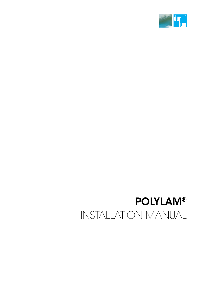

## POLYLAM® INSTALLATION MANUAL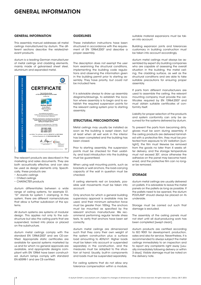## GENERAL INFORMATION

#### GENERAL INFORMATION

This assembly manual addresses all metal ceilings manufactured by durlum. The different sections describe the related/relevant products.

durlum is a leading German manufacturer of metal ceilings and cladding elements, mainly made of galvanised sheet steel, aluminium and expanded metal.



The relevant products are described in the marketing and sales documents. They are both acoustically effective, and can also be used as design elements only. Specifically, these products are:

- Acoustic ceilings
- Chilled ceilings
- CHARACTER products

durlum differentiates between a wide range of ceiling systems, for example S1. "S1" stands for system 1 clamping. In this system, there are different nomenclatures that allow a further subdivision of the systems.

All durlum systems are systems of modular design. This applies not only to the substructure but also the ceiling parts that are suspended, locked into place or placed on the substructure.

durlum metal ceilings comply with the standard EN 13964:2007 and are CE-certified. Appropriate static certificates are available for special systems marketed by us and for which no general approvals are available, and appropriate designs compliant with EN 13964 have been constructed. durlum lamps comply with standard EN 60598-1 and are CE-certified.

#### **GUIDELINES**

These installation instructions have been structured in accordance with the requirement of EN 13964:2007 and describe a proper assembly.

The description does not exempt the user from examining the structural conditions, implementing the building code regulations and observing the information given in the building permit prior to starting assembly. They have priority, but could not be included here.

It is advisable always to draw up assembly diagrams/drawings, to establish the location where assembly is to begin and to establish the required suspension points for the relevant ceiling system prior to starting assembly.

#### STRUCTURAL PRECONDITIONS

Metal ceilings may usually be installed as soon as the building is swept clean, but at least when all wet work in the interior has been completed and the building has been closed.

Prior to starting assembly, the suspension points must be checked for their usability, and load introduction into the building must be guaranteed.

When using wall mounting points, such as brackets or wall anchors, the load-carrying capacity of the wall in question must be checked.

If ceiling elements rest on brackets, possible wall movements must be taken into account.

Only anchors for which a general building supervisory approval is available may be used, and their minimum extraction force must be greater than 100kg. The anchors must be mounted as specified by the relevant anchors manufacturer. We recommend performing regular tensile stress tests, to verify that anchors have been set correctly.

durlum metal ceilings are dimensioned such that they carry their own weight of the system construction plus a surface load amounting to 40N/m². Higher loads must be taken into account or suspended separately in the construction, and the measures must be adapted to the situation at hand. Usually, built-in components and loads must be suspended separately.

For ceiling systems that do not allow any tolerance compensation within a module, suitable material expansions must be taken into account.

Building expansion joints and tolerances customary in building construction must be taken into account accordingly.

durlum metal ceilings must always be assembled by expert dry building companies who are capable of assessing the overall situation in the building, the metal ceiling, the cladding surface, as well as the structural conditions and are able to take suitable precautions for ensuring proper assembly.

If parts from different manufacturers are used to assemble the ceiling, the relevant mounting company must provide the certificates required by EN 13964:2007 and must obtain suitable certificates of conformity itself.

Liability for proper selection of the products and system conformity can only be assumed for the systems delivered by durlum.

To prevent the parts from becoming dirty, gloves must be worn during assembly. If the ceiling products are delivered laminated with a protective film, they must be protected from exposure to UV radiation [sunlight], the film must likewise be removed from the goods no later than 4 weeks after delivery, and the storage temperature must not exceed 30°, since otherwise the adhesive on the panel may become hardened, and the protective film can no longer be removed.

#### STORAGE

durlum metal ceilings are usually delivered on pallets. It is advisable to leave the metal panels on the pallets as long as possible. If the pallets need to be opened, the durlum POLYLAM® should always be placed on its underside.

Storage must be carried out such that damage is excluded.

The assembly of the ceiling panels must not start until all dust-producing work has been completed [swept clean].

durlum products are certified according to ISO 9001 for development, production, sales and also for service. Nevertheless, it is recommended to always subject the metal ceilings immediately to an inspection and to report any complaints right away [usually immediately following delivery or within 3 days]. Visible damage must be noted on the delivery note.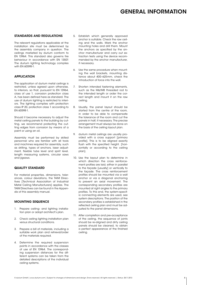### GENERAL INFORMATION

#### STANDARDS AND REGULATIONS

The relevant regulations applicable at the installation site must be determined by the assembly company in question. The ceilings marketed by durlum conform to EN 13964. This standard also governs fire behaviour in accordance with EN 13501 The durlum lighting technology complies with EN 60598-1.

#### **APPLICATION**

The application of durlum metal ceilings is restricted, unless agreed upon otherwise, to interiors, so that, pursuant to EN 13964, class of use 1, corrosion protection class A, has been defined here as standard. The use of durlum lighting is restricted to interiors. The lighting complies with protection class IP 20, protection class 1 according to EN 60598-1.

Should it become necessary to adjust the metal ceiling panels to the building by cutting, we recommend protecting the cutting edges from corrosion by means of a paint or using an oil.

Assembly must be performed by skilled personnel who are familiar with all tools and machines required for assembly, such as drilling, types of anchors, laser adjustment, flexible tube level and spirit level, length measuring systems, circular saws and jigsaws.

#### QUALITY STANDARD

For material properties, dimensions, tolerances, colour deviations, the TAIM Directives [Technical Association of Industrial Metal Ceiling Manufacturers] applies. The TAIM Directives can be found in the Appendix of this assembly manual.

#### MOUNTING SEQUENCE

- 1. Prepare ceiling- and lighting installation plan or adopt architect's plan.
- 2. Check ceiling lighting installation plan versus structural conditions.
- 3. Prepare a bill of materials, including a suitable work plan and retrieval/order of the materials required.
- 4. Determine the required suspension points in accordance with the classes of use of EN 13964. The corresponding suspension distances for the different systems can be taken from the detailed descriptions of the individual ceiling systems.
- 5. Establish which generally approved anchor is suitable. Check the raw ceiling and the walls. Mark the anchor mounting holes and drill them. Mount the anchors as specified by the anchor manufacturer and carry out extraction tests using the device recommended by the anchor manufacturer, if necessary.
- 6. Use the same procedure when mounting the wall brackets, mounting distance about 400–625mm, check the introduction of force into the wall.
- 7. Shorten intended fastening elements, such as the M6/M8 threaded rod to the intended length or order the correct length and mount it on the raw ceiling.
- 8. Usually, the panel layout should be started from the centre of the room, in order to be able to compensate the tolerance of the room and cut the panels in half, if necessary. The precise arrangement must always be done on the basis of the ceiling layout plan.
- 9. durlum metal ceilings are usually provided with a cross support [primary profile]. This is to be aligned exactly flush with the specified height. [horizontally or according to the ceiling plan].
- 10. Use the layout plan to determine in which direction the cross reinforcement profiles are laid, either in parallel to the façade [usually] or vertically to the façade. The cross reinforcement profiles should be mounted via a wall anchor or via a diagonal anchoring to prevent an axial movement. The corresponding secondary profiles are mounted at right angles to the primary profiles. To this end, the system-specific connecting elements are used, see system descriptions. The position of the secondary profiles is established in the reflected ceiling plan and must be adjusted to the panel dimensions.
- 11. After completion and pre-acceptance of the ceiling, the sequence of joints should be re-aligned and dirty ceiling panels should be cleaned, to obtain a perfect appearance of the finished ceiling.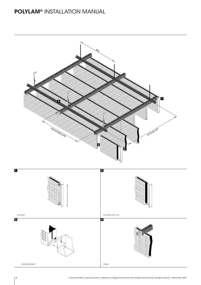## POLYLAM® INSTALLATION MANUAL

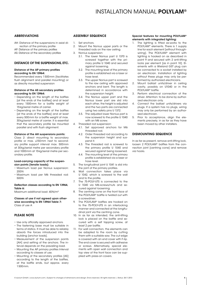## INSTALLATION MANUAL POLYLAM®

#### ABBREVIATIONS

- AH: Distance of the suspensions in axial direction of the primary profile
- AP: Distance of the primary profiles
- AS: Distance of the secondary profiles

#### DISTANCE OF THE SUSPENSIONS, ETC.

#### Distance of the AP primary profiles according to EN 13964:

Recommended every 1500mm [facilitates flush alignment and parallel mounting] or as directly mounted suspension

#### Distance of the AS secondary profiles according to EN 13964:

- Depending on the length of the baffles [at the ends of the baffles] and at least every 1500mm for a baffle weight of 15kg/serial metre of carrier.
- Depending on the length of the baffles [at the ends of the baffles] and at least every 500mm for a baffle weight of max. 30kg/serial metre of carrier. It is essential that the secondary profile be mounted parallel and with flush alignment.

#### Distance of the AH suspensions points:

Class 2: direct mounting to secondary profile or max. ±150mm next to secondary profile support interval max. 500mm at 30kg/serial metre per secondary profile and 1000mm at 15kg/serial metre per secondary profile.

#### Load-carrying capacity of the suspension points [tensile loads]:

- Maximum load per Nonius suspension: 200N
- Maximum load per M6 threaded rod: 500N

#### Deflection classes according to EN 13964, Table 6:

Maximum additional load: 40N/m²

#### Classes of use if not agreed upon otherwise according to EN 13964 Table 7: Class of use A

#### PLEASE NOTE

- Use only officially approved anchors.
- The fastening base must be suitable in terms of statics. It must be able to reliably absorb the forces introduced into the building [anchor loads].
- Measurement of the suspension points [AH] and setting of the anchors. The interval depends on the prevailing load.
- Mounting the AP primary profiles Interval according to classes of use.
- Mounting of the secondary profiles [AS] according to the length of the baffles, at the baffle ends, but approx. every 1500mm.

#### ASSEMBLY SEQUENCE

- 1. Set anchors.
- 2. Mount the Nonius upper parts or the threaded rods on the raw ceiling.
- 3. Nonius suspension:
	- 3.1. The lower Nonius part U 1370 is screwed together with the primary profile U 1040 and secured against loosening.
	- 3.2. The mounting level of the primary profile is established via a laser or hose level.
	- 3.3. The upper Nonius part is screwed to the raw ceiling with approved anchors and bent. The length is determined in accordance with the suspension height.
	- 3.4. The Nonius upper part and the Nonius lower part are slid into each other, the height is adjusted and the two parts are connected using two safety pins U 1372.
	- 3.5. The adjusted lower Nonius part is now screwed to the profile U 1040 with an M6 screw.
- 4. Threaded rod suspension:
	- 4.1. Set approved anchors for M6 threaded rod.
	- 4.2. Order threaded rod according to the suspension height and suspend it.
	- 4.3. The threaded rod is screwed to the primary profile U 1040 and secured against being loosened.
	- 4.4. The mounting level of the primary profile is established via a laser or hose level.
- 5. The longitudinal joint U 1041 is slid into the joint of the primary profiles.
- 6. Wall connection takes place via U 1042, which is screwed to the wall and to the profile.
- The 75-POLY-UTS is connected to the U 1040 via M6-screws/nuts and secured against loosening.
- 8. The centring cone on the front face of the POLYLAM® baffle is twisted out with a screwdriver.
- 9. The POLYLAM® baffles are hooked on to the 75-POLY-UTS in an interlocking manner and connected at the longitudinal joint via the centring cone.
- 10. In as far as intended, the anti-lifting lock is placed on the baffle and secured with a self tapping screw, at least 2 per baffle.
- 11. For wall connection, the elements can be adapted to the room by cutting them with a suitable saw. The cut edge is covered with an end cover with F-lip. The end cover is secured with adhesive or screws. Alternatively, special elements with open wall connection and top view of the front face can be supplied with press-on covers.

#### Special features for mounting POLYLAM® elements with integrated lighting:

- 1. The lighting is fitted ex-works to the POLYLAM® elements. There is 1 supply line for each element [without throughwiring]. The POLYLAM® element with lighting is hooked on as described in point 9 and secured with 2 anti-lifting locks per element [as in point 10]. Elements with a Wieland GST plug can be connected to a socket installed by an electrician. Installation of lighting without these plugs may only be performed by authorized electricians.
- 2. Mount ballast units/driver in ceiling cavity, possibly on U1040 or in the POLYLAM® baffle.
- 3. Perform electrical connection of the driver. Attention: to be done by authorized electrician only.
- Connect the ballast units/drivers via plugs. If a system has no plugs, wiring may only be performed by an authorized electrician.
- 5. Prior to acceptance, align the elements precisely, in as far as they have been moved by other installers.

#### DISMOUNTING SEQUENCE

In as far as present, remove anti-lifting lock, loosen 2 POLYLAM® baffles from the connection joint [centring cone] and remove via hooks.